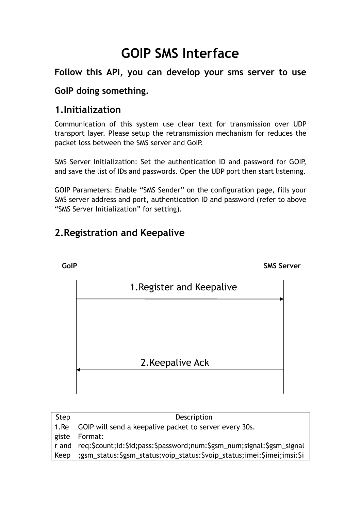# **GOIP SMS Interface**

## **Follow this API, you can develop your sms server to use**

## **GoIP doing something.**

## **1.Initialization**

Communication of this system use clear text for transmission over UDP transport layer. Please setup the retransmission mechanism for reduces the packet loss between the SMS server and GoIP.

SMS Server Initialization: Set the authentication ID and password for GOIP, and save the list of IDs and passwords. Open the UDP port then start listening.

GOIP Parameters: Enable "SMS Sender" on the configuration page, fills your SMS server address and port, authentication ID and password (refer to above "SMS Server Initialization" for setting).

# **2.Registration and Keepalive**



| Step | Description                                                                    |
|------|--------------------------------------------------------------------------------|
|      | 1. Re GOIP will send a keepalive packet to server every 30s.                   |
|      | giste   Format:                                                                |
|      | r and   req:\$count;id:\$id;pass:\$password;num:\$gsm_num;signal:\$gsm_signal  |
|      | Keep   ;gsm_status:\$gsm_status;voip_status:\$voip_status;imei:\$imei;imsi:\$i |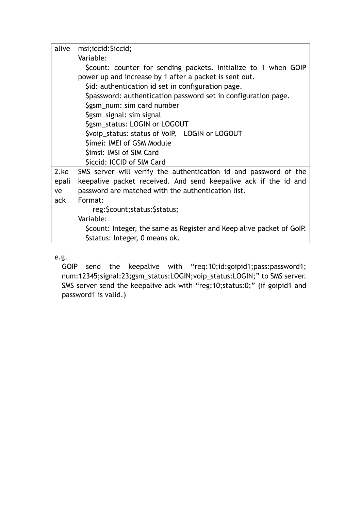| alive | msi;iccid: \$iccid;                                                   |  |
|-------|-----------------------------------------------------------------------|--|
|       | Variable:                                                             |  |
|       | \$count: counter for sending packets. Initialize to 1 when GOIP       |  |
|       | power up and increase by 1 after a packet is sent out.                |  |
|       | \$id: authentication id set in configuration page.                    |  |
|       | \$password: authentication password set in configuration page.        |  |
|       | \$gsm_num: sim card number                                            |  |
|       | \$gsm_signal: sim signal                                              |  |
|       | \$gsm_status: LOGIN or LOGOUT                                         |  |
|       | \$voip_status: status of VoIP, LOGIN or LOGOUT                        |  |
|       | Simei: IMEI of GSM Module                                             |  |
|       | Simsi: IMSI of SIM Card                                               |  |
|       | <b>Siccid: ICCID of SIM Card</b>                                      |  |
| 2.ke  | SMS server will verify the authentication id and password of the      |  |
| epali | keepalive packet received. And send keepalive ack if the id and       |  |
| ve    | password are matched with the authentication list.                    |  |
| ack   | Format:                                                               |  |
|       | reg: \$count; status: \$ status;                                      |  |
|       | Variable:                                                             |  |
|       | \$count: Integer, the same as Register and Keep alive packet of GoIP. |  |
|       | Sstatus: Integer, 0 means ok.                                         |  |

e.g.

GOIP send the keepalive with "req:10;id:goipid1;pass:password1; num:12345;signal:23;gsm\_status:LOGIN;voip\_status:LOGIN;" to SMS server. SMS server send the keepalive ack with "reg:10;status:0;" (if goipid1 and password1 is valid.)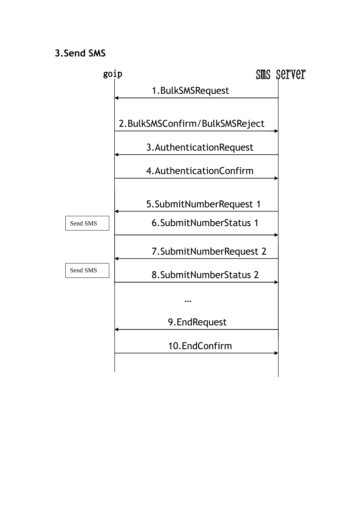## **3.Send SMS**

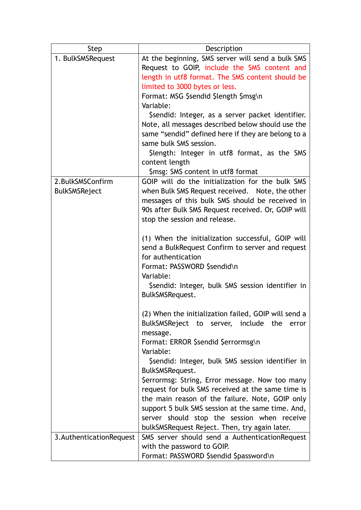| <b>Step</b>               | Description                                                                                        |
|---------------------------|----------------------------------------------------------------------------------------------------|
| 1. BulkSMSRequest         | At the beginning, SMS server will send a bulk SMS                                                  |
|                           | Request to GOIP, include the SMS content and                                                       |
|                           | length in utf8 format. The SMS content should be                                                   |
|                           | limited to 3000 bytes or less.                                                                     |
|                           | Format: MSG \$sendid \$length \$msg\n                                                              |
|                           | Variable:                                                                                          |
|                           | \$sendid: Integer, as a server packet identifier.                                                  |
|                           | Note, all messages described below should use the                                                  |
|                           | same "sendid" defined here if they are belong to a                                                 |
|                           | same bulk SMS session.                                                                             |
|                           | Slength: Integer in utf8 format, as the SMS                                                        |
|                           | content length                                                                                     |
| 2. BulkSMSConfirm         | Smsg: SMS content in utf8 format<br>GOIP will do the initialization for the bulk SMS               |
| <b>BulkSMSReject</b>      | when Bulk SMS Request received. Note, the other                                                    |
|                           | messages of this bulk SMS should be received in                                                    |
|                           | 90s after Bulk SMS Request received. Or, GOIP will                                                 |
|                           | stop the session and release.                                                                      |
|                           |                                                                                                    |
|                           | (1) When the initialization successful, GOIP will                                                  |
|                           | send a BulkRequest Confirm to server and request                                                   |
|                           | for authentication                                                                                 |
|                           | Format: PASSWORD \$sendid\n                                                                        |
|                           | Variable:                                                                                          |
|                           | Ssendid: Integer, bulk SMS session identifier in                                                   |
|                           | BulkSMSRequest.                                                                                    |
|                           |                                                                                                    |
|                           | (2) When the initialization failed, GOIP will send a<br>BulkSMSReject to server, include the error |
|                           | message.                                                                                           |
|                           | Format: ERROR \$sendid \$errormsg\n                                                                |
|                           | Variable:                                                                                          |
|                           | \$sendid: Integer, bulk SMS session identifier in                                                  |
|                           | BulkSMSRequest.                                                                                    |
|                           | \$errormsg: String, Error message. Now too many                                                    |
|                           | request for bulk SMS received at the same time is                                                  |
|                           | the main reason of the failure. Note, GOIP only                                                    |
|                           | support 5 bulk SMS session at the same time. And,                                                  |
|                           | server should stop the session when receive                                                        |
|                           | bulkSMSRequest Reject. Then, try again later.                                                      |
| 3. Authentication Request | SMS server should send a AuthenticationRequest                                                     |
|                           | with the password to GOIP.                                                                         |
|                           | Format: PASSWORD \$sendid \$password\n                                                             |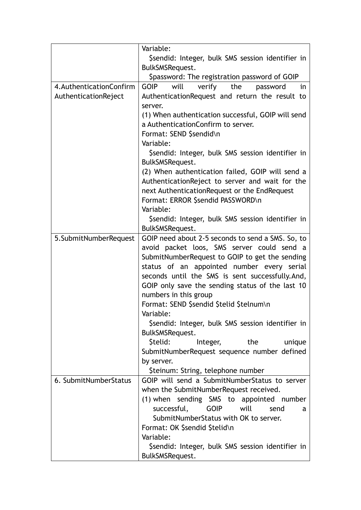|                           | Variable:                                              |
|---------------------------|--------------------------------------------------------|
|                           | \$sendid: Integer, bulk SMS session identifier in      |
|                           | BulkSMSRequest.                                        |
|                           | Spassword: The registration password of GOIP           |
| 4. Authentication Confirm | will<br>the<br><b>GOIP</b><br>verify<br>password<br>in |
| AuthenticationReject      | AuthenticationRequest and return the result to         |
|                           | server.                                                |
|                           | (1) When authentication successful, GOIP will send     |
|                           | a AuthenticationConfirm to server.                     |
|                           | Format: SEND \$sendid\n                                |
|                           | Variable:                                              |
|                           | Ssendid: Integer, bulk SMS session identifier in       |
|                           | BulkSMSRequest.                                        |
|                           | (2) When authentication failed, GOIP will send a       |
|                           | AuthenticationReject to server and wait for the        |
|                           | next AuthenticationRequest or the EndRequest           |
|                           | Format: ERROR \$sendid PASSWORD\n                      |
|                           | Variable:                                              |
|                           | \$sendid: Integer, bulk SMS session identifier in      |
|                           | BulkSMSRequest.                                        |
| 5. Submit Number Request  | GOIP need about 2-5 seconds to send a SMS. So, to      |
|                           | avoid packet loos, SMS server could send a             |
|                           | SubmitNumberRequest to GOIP to get the sending         |
|                           | status of an appointed number every serial             |
|                           | seconds until the SMS is sent successfully.And,        |
|                           | GOIP only save the sending status of the last 10       |
|                           | numbers in this group                                  |
|                           | Format: SEND \$sendid \$telid \$telnum\n               |
|                           | Variable:                                              |
|                           | \$sendid: Integer, bulk SMS session identifier in      |
|                           | BulkSMSRequest.                                        |
|                           | \$telid:<br>the<br>Integer,<br>unique                  |
|                           | SubmitNumberRequest sequence number defined            |
|                           | by server.                                             |
|                           | \$teinum: String, telephone number                     |
| 6. SubmitNumberStatus     | GOIP will send a SubmitNumberStatus to server          |
|                           | when the SubmitNumberRequest received.                 |
|                           | (1) when sending SMS to appointed number               |
|                           | successful,<br><b>GOIP</b><br>will<br>send<br>a        |
|                           | SubmitNumberStatus with OK to server.                  |
|                           | Format: OK \$sendid \$telid\n                          |
|                           | Variable:                                              |
|                           | \$sendid: Integer, bulk SMS session identifier in      |
|                           | BulkSMSRequest.                                        |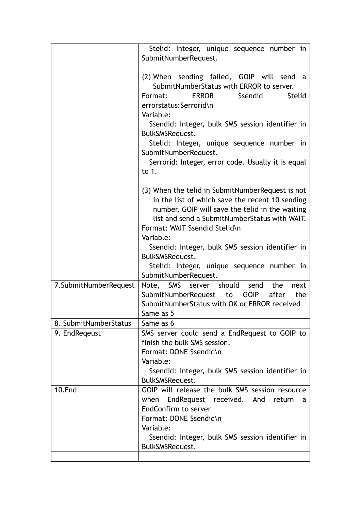|                       | \$telid: Integer, unique sequence number in<br>SubmitNumberRequest.                                                                                                                                                                                                                                                                                                                                     |
|-----------------------|---------------------------------------------------------------------------------------------------------------------------------------------------------------------------------------------------------------------------------------------------------------------------------------------------------------------------------------------------------------------------------------------------------|
|                       | (2) When sending failed, GOIP will send<br>a<br>SubmitNumberStatus with ERROR to server.<br><b>Stelid</b><br>Format:<br>ERROR<br><b>Ssendid</b><br>errorstatus: \$errorid\n<br>Variable:<br>\$sendid: Integer, bulk SMS session identifier in<br>BulkSMSRequest.<br>\$telid: Integer, unique sequence number in<br>SubmitNumberRequest.<br>\$errorid: Integer, error code. Usually it is equal<br>to 1. |
|                       | (3) When the telid in SubmitNumberRequest is not<br>in the list of which save the recent 10 sending<br>number, GOIP will save the telid in the waiting<br>list and send a SubmitNumberStatus with WAIT.<br>Format: WAIT \$sendid \$telid\n<br>Variable:<br>\$sendid: Integer, bulk SMS session identifier in<br>BulkSMSRequest.<br>Stelid: Integer, unique sequence number in<br>SubmitNumberRequest.   |
| 7.SubmitNumberRequest | Note, SMS server should send<br>the<br>next<br>SubmitNumberRequest to GOIP<br>after<br>the<br>SubmitNumberStatus with OK or ERROR received<br>Same as 5                                                                                                                                                                                                                                                 |
| 8. SubmitNumberStatus | Same as 6                                                                                                                                                                                                                                                                                                                                                                                               |
| 9. EndRegeust         | SMS server could send a EndRequest to GOIP to<br>finish the bulk SMS session.<br>Format: DONE \$sendid\n<br>Variable:<br>Ssendid: Integer, bulk SMS session identifier in<br>BulkSMSRequest.                                                                                                                                                                                                            |
| <b>10.End</b>         | GOIP will release the bulk SMS session resource<br>EndRequest received. And<br>when<br>return<br>a<br>EndConfirm to server<br>Format: DONE \$sendid\n<br>Variable:<br>Ssendid: Integer, bulk SMS session identifier in<br>BulkSMSRequest.                                                                                                                                                               |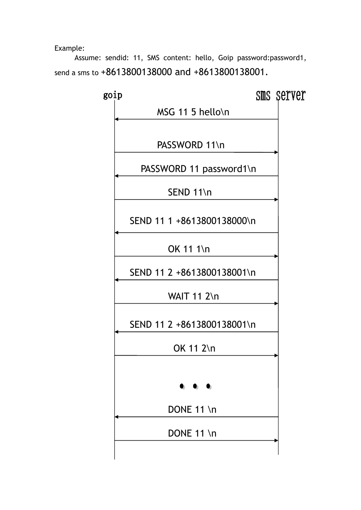Example:

Assume: sendid: 11, SMS content: hello, Goip password:password1, send a sms to +8613800138000 and +8613800138001.

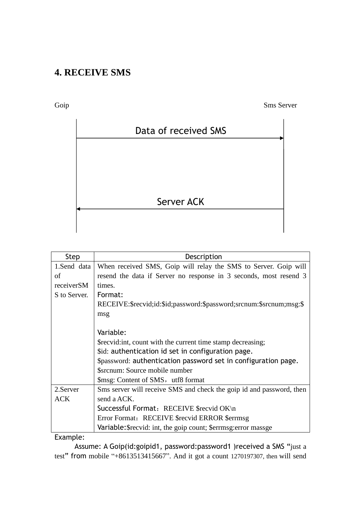## **4. RECEIVE SMS**

Goip Sms Server



| Step         | Description                                                          |
|--------------|----------------------------------------------------------------------|
| 1.Send data  | When received SMS, Goip will relay the SMS to Server. Goip will      |
| οf           | resend the data if Server no response in 3 seconds, most resend 3    |
| receiverSM   | times.                                                               |
| S to Server. | Format:                                                              |
|              | RECEIVE:\$recvid;id:\$id;password:\$password;srcnum:\$srcnum;msg:\$  |
|              | msg                                                                  |
|              |                                                                      |
|              | Variable:                                                            |
|              | \$recvid:int, count with the current time stamp decreasing;          |
|              | \$id: authentication id set in configuration page.                   |
|              | \$password: authentication password set in configuration page.       |
|              | \$srcnum: Source mobile number                                       |
|              | \$msg: Content of SMS, utf8 format                                   |
| 2.Server     | Sms server will receive SMS and check the goip id and password, then |
| <b>ACK</b>   | send a ACK.                                                          |
|              | Successful Format: RECEIVE \$recvid OK\n                             |
|              | Error Format: RECEIVE \$recvid ERROR \$errmsg                        |
|              | Variable: \$ recvid: int, the goip count; \$ errms g: error mass ge  |

Example:

Assume: A Goip(id:goipid1, password:password1 )received a SMS "just a test" from mobile "+8613513415667". And it got a count 1270197307, then will send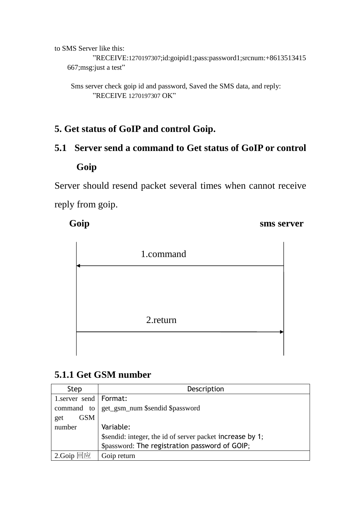to SMS Server like this:

"RECEIVE:1270197307;id:goipid1;pass:password1;srcnum:+8613513415 667;msg:just a test"

Sms server check goip id and password, Saved the SMS data, and reply: "RECEIVE 1270197307 OK"

## **5. Get status of GoIP and control Goip.**

# **5.1 Server send a command to Get status of GoIP or control Goip**

Server should resend packet several times when cannot receive reply from goip.

**Goip** sms server



## **5.1.1 Get GSM number**

| Step                    | Description                                               |
|-------------------------|-----------------------------------------------------------|
| 1.server send   Format: |                                                           |
| command to              | get_gsm_num \$sendid \$password                           |
| <b>GSM</b><br>get       |                                                           |
| number                  | Variable:                                                 |
|                         | \$sendid: integer, the id of server packet increase by 1; |
|                         | \$password: The registration password of GOIP;            |
| l应<br>2.Goip            | Goip return                                               |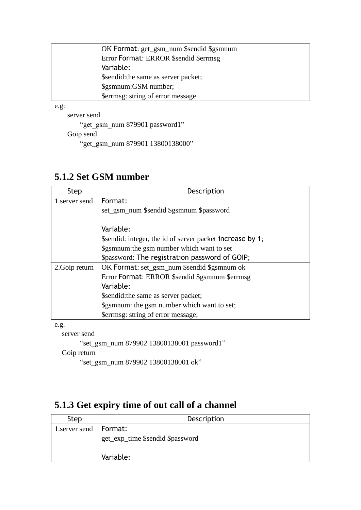| OK Format: get_gsm_num \$sendid \$gsmnum |
|------------------------------------------|
| Error Format: ERROR \$sendid \$errmsg    |
| Variable:                                |
| \$sendid: the same as server packet;     |
| \$gsmnum:GSM number;                     |
| \$ errmsg: string of error message       |

e.g:

server send

"get\_gsm\_num 879901 password1" Goip send "get\_gsm\_num 879901 13800138000"

## **5.1.2 Set GSM number**

| Step           | Description                                               |
|----------------|-----------------------------------------------------------|
| 1.server send  | Format:                                                   |
|                | set_gsm_num \$sendid \$gsmnum \$password                  |
|                |                                                           |
|                | Variable:                                                 |
|                | \$sendid: integer, the id of server packet increase by 1; |
|                | \$gsmnum: the gsm number which want to set                |
|                | \$password: The registration password of GOIP;            |
| 2. Goip return | OK Format: set_gsm_num \$sendid \$gsmnum ok               |
|                | Error Format: ERROR \$sendid \$gsmnum \$errmsg            |
|                | Variable:                                                 |
|                | \$sendid: the same as server packet;                      |
|                | \$gsmnum: the gsm number which want to set;               |
|                | \$errmsg: string of error message;                        |

e.g.

server send

"set\_gsm\_num 879902 13800138001 password1"

Goip return

"set\_gsm\_num 879902 13800138001 ok"

# **5.1.3 Get expiry time of out call of a channel**

| <b>Step</b>              | Description                      |
|--------------------------|----------------------------------|
| 1. server send   Format: |                                  |
|                          | get_exp_time \$sendid \$password |
|                          | Variable:                        |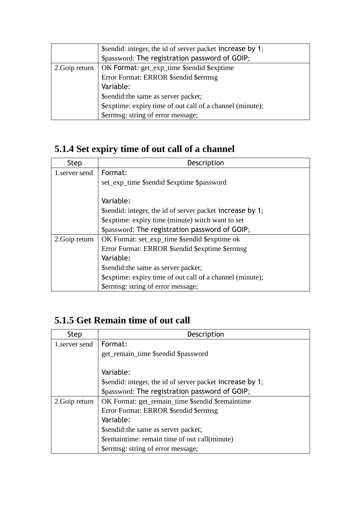|                | \$sendid: integer, the id of server packet increase by 1;<br>\$password: The registration password of GOIP; |
|----------------|-------------------------------------------------------------------------------------------------------------|
| 2. Goip return | OK Format: get_exp_time \$sendid \$exptime                                                                  |
|                | Error Format: ERROR \$sendid \$errmsg                                                                       |
|                | Variable:                                                                                                   |
|                | \$sendid: the same as server packet;                                                                        |
|                | \$exptime: expiry time of out call of a channel (minute);                                                   |
|                | \$errmsg: string of error message;                                                                          |

# **5.1.4 Set expiry time of out call of a channel**

| <b>Step</b>    | Description                                               |
|----------------|-----------------------------------------------------------|
| 1.server send  | Format:                                                   |
|                | set_exp_time \$sendid \$exptime \$password                |
|                |                                                           |
|                | Variable:                                                 |
|                | \$sendid: integer, the id of server packet increase by 1; |
|                | \$exptime: expiry time (minute) witch want to set         |
|                | \$password: The registration password of GOIP;            |
| 2. Goip return | OK Format: set_exp_time \$sendid \$exptime ok             |
|                | Error Format: ERROR \$sendid \$exptime \$errmsg           |
|                | Variable:                                                 |
|                | \$sendid: the same as server packet;                      |
|                | \$exptime: expiry time of out call of a channel (minute); |
|                | \$errmsg: string of error message;                        |

# **5.1.5 Get Remain time of out call**

| Step           | Description                                               |
|----------------|-----------------------------------------------------------|
| 1. server send | Format:                                                   |
|                | get_remain_time \$sendid \$password                       |
|                | Variable:                                                 |
|                |                                                           |
|                | \$sendid: integer, the id of server packet increase by 1; |
|                | \$password: The registration password of GOIP;            |
| 2. Goip return | OK Format: get_remain_time \$sendid \$remaintime          |
|                | Error Format: ERROR \$sendid \$errmsg                     |
|                | Variable:                                                 |
|                | \$sendid: the same as server packet;                      |
|                | \$remaintime: remain time of out call(minute)             |
|                | \$errmsg: string of error message;                        |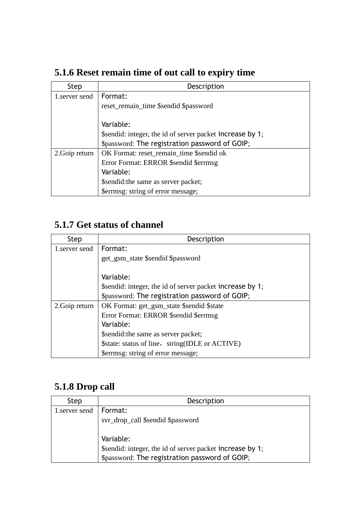| Step           | Description                                               |
|----------------|-----------------------------------------------------------|
| 1.server send  | Format:                                                   |
|                | reset_remain_time \$sendid \$password                     |
|                |                                                           |
|                | Variable:                                                 |
|                | \$sendid: integer, the id of server packet increase by 1; |
|                | \$password: The registration password of GOIP;            |
| 2. Goip return | OK Format: reset_remain_time \$sendid ok                  |
|                | Error Format: ERROR \$sendid \$errmsg                     |
|                | Variable:                                                 |
|                | \$sendid: the same as server packet;                      |
|                | \$errmsg: string of error message;                        |

# **5.1.6 Reset remain time of out call to expiry time**

# **5.1.7 Get status of channel**

| Step           | Description                                               |
|----------------|-----------------------------------------------------------|
| 1. server send | Format:                                                   |
|                | get_gsm_state \$sendid \$password                         |
|                |                                                           |
|                | Variable:                                                 |
|                | \$sendid: integer, the id of server packet increase by 1; |
|                | \$password: The registration password of GOIP;            |
| 2. Goip return | OK Format: get_gsm_state \$sendid \$state                 |
|                | Error Format: ERROR \$sendid \$errmsg                     |
|                | Variable:                                                 |
|                | \$sendid: the same as server packet;                      |
|                | \$state: status of line, string(IDLE or ACTIVE)           |
|                | \$ ferrmsg: string of error message;                      |

## **5.1.8 Drop call**

| Step           | Description                                               |
|----------------|-----------------------------------------------------------|
| 1. server send | Format:                                                   |
|                | svr_drop_call \$sendid \$password                         |
|                |                                                           |
|                | Variable:                                                 |
|                | \$sendid: integer, the id of server packet increase by 1; |
|                | \$password: The registration password of GOIP;            |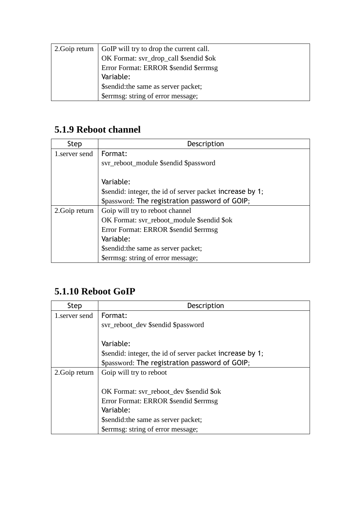| 2. Goip return   GoIP will try to drop the current call. |
|----------------------------------------------------------|
| OK Format: svr_drop_call \$sendid \$ok                   |
| <b>Error Format: ERROR \$sendid \$errmsg</b>             |
| Variable:                                                |
| \$sendid: the same as server packet;                     |
| \$errmsg: string of error message;                       |

# **5.1.9 Reboot channel**

| <b>Step</b>    | Description                                               |
|----------------|-----------------------------------------------------------|
| 1. server send | Format:                                                   |
|                | svr_reboot_module \$sendid \$password                     |
|                |                                                           |
|                | Variable:                                                 |
|                | \$sendid: integer, the id of server packet increase by 1; |
|                | \$password: The registration password of GOIP;            |
| 2. Goip return | Goip will try to reboot channel                           |
|                | OK Format: svr_reboot_module \$sendid \$ok                |
|                | Error Format: ERROR \$sendid \$errmsg                     |
|                | Variable:                                                 |
|                | \$sendid: the same as server packet;                      |
|                | \$errmsg: string of error message;                        |

# **5.1.10 Reboot GoIP**

| Step           | Description                                               |
|----------------|-----------------------------------------------------------|
| 1. server send | Format:                                                   |
|                | svr_reboot_dev \$sendid \$password                        |
|                |                                                           |
|                | Variable:                                                 |
|                | \$sendid: integer, the id of server packet increase by 1; |
|                | \$password: The registration password of GOIP;            |
| 2. Goip return | Goip will try to reboot                                   |
|                |                                                           |
|                | OK Format: svr_reboot_dev \$sendid \$ok                   |
|                | Error Format: ERROR \$sendid \$errmsg                     |
|                | Variable:                                                 |
|                | \$sendid: the same as server packet;                      |
|                | \$errmsg: string of error message;                        |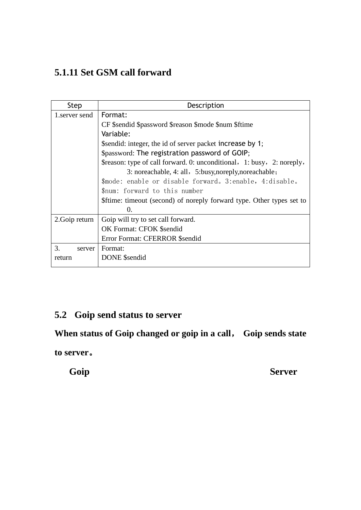# **5.1.11 Set GSM call forward**

| Step           | Description                                                            |
|----------------|------------------------------------------------------------------------|
| 1. server send | Format:                                                                |
|                | CF \$sendid \$password \$reason \$mode \$num \$ftime                   |
|                | Variable:                                                              |
|                | \$sendid: integer, the id of server packet increase by 1;              |
|                | \$password: The registration password of GOIP;                         |
|                | \$reason: type of call forward. 0: unconditional, 1: busy, 2: noreply, |
|                | 3: noreachable, 4: all, 5:busy, noreply, noreachable;                  |
|                | \$mode: enable or disable forward, 3:enable, 4:disable,                |
|                | \$num: forward to this number                                          |
|                | \$ftime: timeout (second) of noreply forward type. Other types set to  |
|                | 0.                                                                     |
| 2. Goip return | Goip will try to set call forward.                                     |
|                | <b>OK Format: CFOK \$sendid</b>                                        |
|                | Error Format: CFERROR \$sendid                                         |
| 3.<br>server   | Format:                                                                |
| return         | <b>DONE</b> \$sendid                                                   |
|                |                                                                        |

## **5.2 Goip send status to server**

**When status of Goip changed or goip in a call**, **Goip sends state** 

**to server**。

**Goip** Server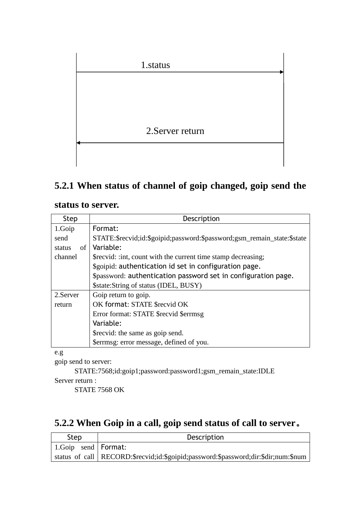

## **5.2.1 When status of channel of goip changed, goip send the**

#### **status to server.**

| Step         | Description                                                             |
|--------------|-------------------------------------------------------------------------|
| 1.Goip       | Format:                                                                 |
| send         | STATE:\$recvid;id:\$goipid;password:\$password;gsm_remain_state:\$state |
| of<br>status | Variable:                                                               |
| channel      | \$recvid: : int, count with the current time stamp decreasing;          |
|              | \$goipid: authentication id set in configuration page.                  |
|              | \$password: authentication password set in configuration page.          |
|              | \$state: String of status (IDEL, BUSY)                                  |
| 2. Server    | Goip return to goip.                                                    |
| return       | OK format: STATE \$recvid OK                                            |
|              | Error format: STATE \$recvid \$errmsg                                   |
|              | Variable:                                                               |
|              | \$recvid: the same as goip send.                                        |
|              | \$errmsg: error message, defined of you.                                |

e.g

goip send to server:

STATE:7568;id:goip1;password:password1;gsm\_remain\_state:IDLE

Server return :

STATE 7568 OK

## **5.2.2 When Goip in a call, goip send status of call to server**。

| Step                         | Description                                                                          |
|------------------------------|--------------------------------------------------------------------------------------|
| $\vert$ 1. Goip send Format: |                                                                                      |
|                              | status of call   RECORD:\$recvid;id:\$goipid;password:\$password;dir:\$dir;num:\$num |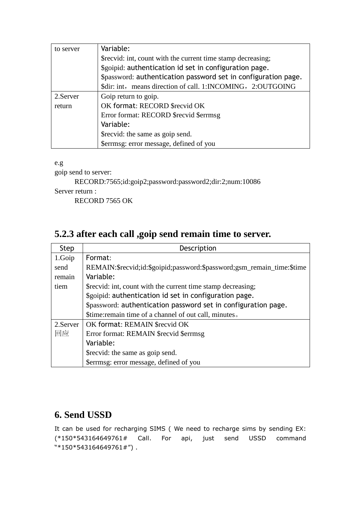| to server | Variable:                                                      |
|-----------|----------------------------------------------------------------|
|           | \$recvid: int, count with the current time stamp decreasing;   |
|           | \$goipid: authentication id set in configuration page.         |
|           | \$password: authentication password set in configuration page. |
|           | \$dir: int, means direction of call. 1:INCOMING, 2:OUTGOING    |
| 2. Server | Goip return to goip.                                           |
| return    | OK format: RECORD \$recvid OK                                  |
|           | Error format: RECORD \$recvid \$errmsg                         |
|           | Variable:                                                      |
|           | \$recvid: the same as goip send.                               |
|           | \$errmsg: error message, defined of you                        |

e.g

goip send to server:

RECORD:7565;id:goip2;password:password2;dir:2;num:10086 Server return :

RECORD 7565 OK

## **5.2.3 after each call ,goip send remain time to server.**

| <b>Step</b> | Description                                                            |
|-------------|------------------------------------------------------------------------|
| 1.Goip      | Format:                                                                |
| send        | REMAIN:\$recvid;id:\$goipid;password:\$password;gsm_remain_time:\$time |
| remain      | Variable:                                                              |
| tiem        | \$recvid: int, count with the current time stamp decreasing;           |
|             | \$goipid: authentication id set in configuration page.                 |
|             | \$password: authentication password set in configuration page.         |
|             | \$time: remain time of a channel of out call, minutes.                 |
| 2. Server   | OK format: REMAIN \$recvid OK                                          |
| 回应          | Error format: REMAIN \$recvid \$errmsg                                 |
|             | Variable:                                                              |
|             | \$recvid: the same as goip send.                                       |
|             | \$errmsg: error message, defined of you                                |

### **6. Send USSD**

It can be used for recharging SIMS ( We need to recharge sims by sending EX: (\*150\*543164649761# Call. For api, just send USSD command "\*150\*543164649761#") .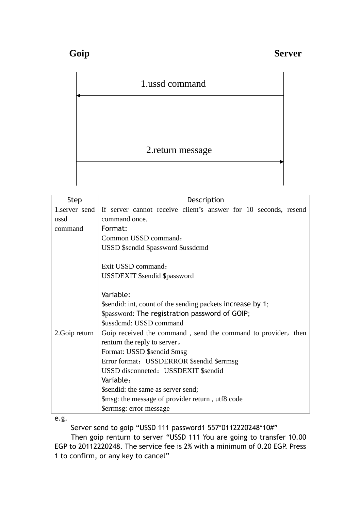| 1.ussd command    |  |
|-------------------|--|
|                   |  |
|                   |  |
| 2. return message |  |
|                   |  |

| <b>Step</b>    | Description                                                     |
|----------------|-----------------------------------------------------------------|
| 1.server send  | If server cannot receive client's answer for 10 seconds, resend |
| ussd           | command once.                                                   |
| command        | Format:                                                         |
|                | Common USSD command:                                            |
|                | USSD \$sendid \$password \$ussdcmd                              |
|                |                                                                 |
|                | Exit USSD command:                                              |
|                | <b>USSDEXIT</b> \$sendid \$password                             |
|                |                                                                 |
|                | Variable:                                                       |
|                | \$sendid: int, count of the sending packets increase by 1;      |
|                | \$password: The registration password of GOIP;                  |
|                | \$ussdcmd: USSD command                                         |
| 2. Goip return | Goip received the command, send the command to provider, then   |
|                | renturn the reply to server.                                    |
|                | Format: USSD \$sendid \$msg                                     |
|                | Error format: USSDERROR \$sendid \$errmsg                       |
|                | USSD disconneted: USSDEXIT \$sendid                             |
|                | Variable:                                                       |
|                | \$sendid: the same as server send;                              |
|                | \$msg: the message of provider return, utf8 code                |
|                | Serrmsg: error message                                          |

e.g.

Server send to goip "USSD 111 password1 557\*0112220248\*10#"

Then goip renturn to server "USSD 111 You are going to transfer 10.00 EGP to 20112220248. The service fee is 2% with a minimum of 0.20 EGP. Press 1 to confirm, or any key to cancel"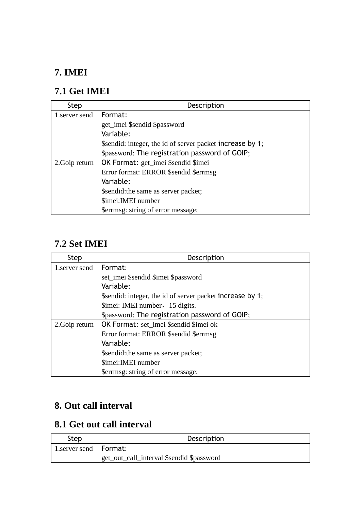# **7. IMEI**

## **7.1 Get IMEI**

| <b>Step</b>    | Description                                               |
|----------------|-----------------------------------------------------------|
| 1.server send  | Format:                                                   |
|                | get_imei \$sendid \$password                              |
|                | Variable:                                                 |
|                | \$sendid: integer, the id of server packet increase by 1; |
|                | \$password: The registration password of GOIP;            |
| 2. Goip return | <b>OK Format:</b> get_imei \$sendid \$imei                |
|                | Error format: ERROR \$sendid \$errmsg                     |
|                | Variable:                                                 |
|                | \$sendid: the same as server packet;                      |
|                | \$imei: IMEI number                                       |
|                | \$errmsg: string of error message;                        |

## **7.2 Set IMEI**

| <b>Step</b>    | Description                                               |
|----------------|-----------------------------------------------------------|
| 1. server send | Format:                                                   |
|                | set_imei \$sendid \$imei \$password                       |
|                | Variable:                                                 |
|                | \$sendid: integer, the id of server packet increase by 1; |
|                | \$imei: IMEI number, 15 digits.                           |
|                | \$password: The registration password of GOIP;            |
| 2. Goip return | OK Format: set_imei \$sendid \$imei ok                    |
|                | Error format: ERROR \$sendid \$errmsg                     |
|                | Variable:                                                 |
|                | \$sendid: the same as server packet;                      |
|                | \$imei: IMEI number                                       |
|                | \$errmsg: string of error message;                        |

# **8. Out call interval**

# **8.1 Get out call interval**

| Step                           | Description                               |
|--------------------------------|-------------------------------------------|
| $\mid$ 1.server send   Format: |                                           |
|                                | get_out_call_interval \$sendid \$password |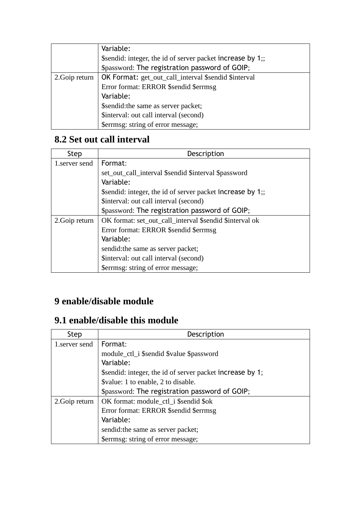|                | Variable:                                                   |
|----------------|-------------------------------------------------------------|
|                | \$sendid: integer, the id of server packet increase by 1;;  |
|                | \$password: The registration password of GOIP;              |
| 2. Goip return | <b>OK Format:</b> get_out_call_interval \$sendid \$interval |
|                | Error format: ERROR \$sendid \$errmsg                       |
|                | Variable:                                                   |
|                | \$sendid: the same as server packet;                        |
|                | \$interval: out call interval (second)                      |
|                | \$errmsg: string of error message;                          |

# **8.2 Set out call interval**

| <b>Step</b>    | Description                                                |
|----------------|------------------------------------------------------------|
| 1. server send | Format:                                                    |
|                | set_out_call_interval \$sendid \$interval \$password       |
|                | Variable:                                                  |
|                | \$sendid: integer, the id of server packet increase by 1;; |
|                | \$interval: out call interval (second)                     |
|                | \$password: The registration password of GOIP;             |
| 2. Goip return | OK format: set_out_call_interval \$sendid \$interval ok    |
|                | Error format: ERROR \$sendid \$errmsg                      |
|                | Variable:                                                  |
|                | sendid: the same as server packet;                         |
|                | \$interval: out call interval (second)                     |
|                | \$errmsg: string of error message;                         |

# **9 enable/disable module**

## **9.1 enable/disable this module**

| <b>Step</b>    | Description                                               |
|----------------|-----------------------------------------------------------|
| 1.server send  | Format:                                                   |
|                | module_ctl_i \$sendid \$value \$password                  |
|                | Variable:                                                 |
|                | \$sendid: integer, the id of server packet increase by 1; |
|                | \$value: 1 to enable, 2 to disable.                       |
|                | \$password: The registration password of GOIP;            |
| 2. Goip return | OK format: module_ctl_i \$sendid \$ok                     |
|                | Error format: ERROR \$sendid \$errmsg                     |
|                | Variable:                                                 |
|                | sendid: the same as server packet;                        |
|                | \$errmsg: string of error message;                        |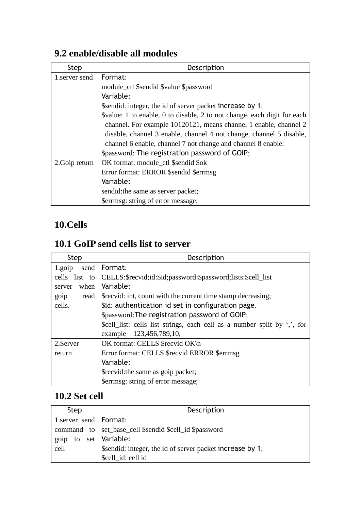## **9.2 enable/disable all modules**

| Step           | Description                                                              |
|----------------|--------------------------------------------------------------------------|
| 1. server send | Format:                                                                  |
|                | module_ctl \$sendid \$value \$password                                   |
|                | Variable:                                                                |
|                | \$sendid: integer, the id of server packet increase by 1;                |
|                | \$value: 1 to enable, 0 to disable, 2 to not change, each digit for each |
|                | channel. For example 10120121, means channel 1 enable, channel 2         |
|                | disable, channel 3 enable, channel 4 not change, channel 5 disable,      |
|                | channel 6 enable, channel 7 not change and channel 8 enable.             |
|                | \$password: The registration password of GOIP;                           |
| 2. Goip return | OK format: module_ctl \$sendid \$ok                                      |
|                | Error format: ERROR \$sendid \$errmsg                                    |
|                | Variable:                                                                |
|                | sendid: the same as server packet;                                       |
|                | \$errmsg: string of error message;                                       |

## **10.Cells**

## **10.1 GoIP send cells list to server**

| <b>Step</b>    | Description                                                                   |
|----------------|-------------------------------------------------------------------------------|
| 1.goip<br>send | Format:                                                                       |
| cells list to  | CELLS:\$recvid;id:\$id;password:\$password;lists:\$cell_list                  |
| when<br>server | Variable:                                                                     |
| goip<br>read   | \$recvid: int, count with the current time stamp decreasing;                  |
| cells.         | \$id: authentication id set in configuration page.                            |
|                | \$password: The registration password of GOIP;                                |
|                | \$cell_list: cells list strings, each cell as a number split by $\cdot$ , for |
|                | example 123,456,789,10,                                                       |
| 2. Server      | OK format: CELLS \$recvid OK\n                                                |
| return         | Error format: CELLS \$recvid ERROR \$errmsg                                   |
|                | Variable:                                                                     |
|                | \$recvid: the same as goip packet;                                            |
|                | \$errmsg: string of error message;                                            |

# **10.2 Set cell**

| Step                    | Description                                               |
|-------------------------|-----------------------------------------------------------|
| 1.server send   Format: |                                                           |
|                         | command to set_base_cell \$sendid \$cell_id \$password    |
| goip                    | to set   Variable:                                        |
| cell                    | \$sendid: integer, the id of server packet increase by 1; |
|                         | \$cell id: cell id                                        |